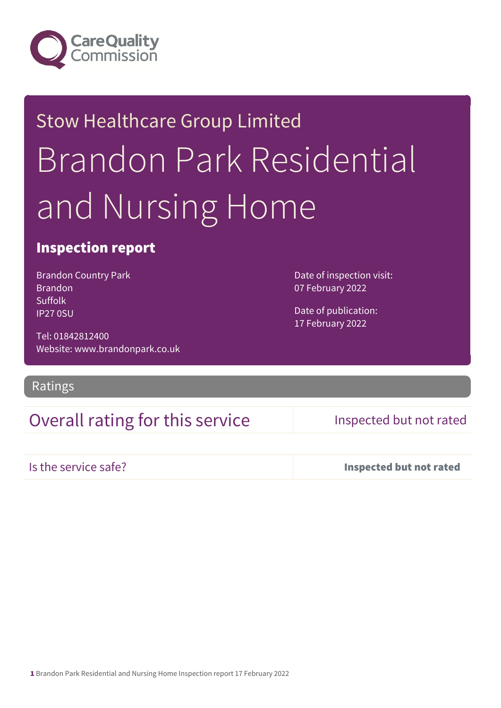

# Stow Healthcare Group Limited Brandon Park Residential and Nursing Home

### Inspection report

Brandon Country Park **Brandon** Suffolk IP27 0SU

Tel: 01842812400 Website: www.brandonpark.co.uk

Ratings

## Overall rating for this service Inspected but not rated

Date of inspection visit:

07 February 2022

Date of publication: 17 February 2022

Is the service safe? Inspected but not rated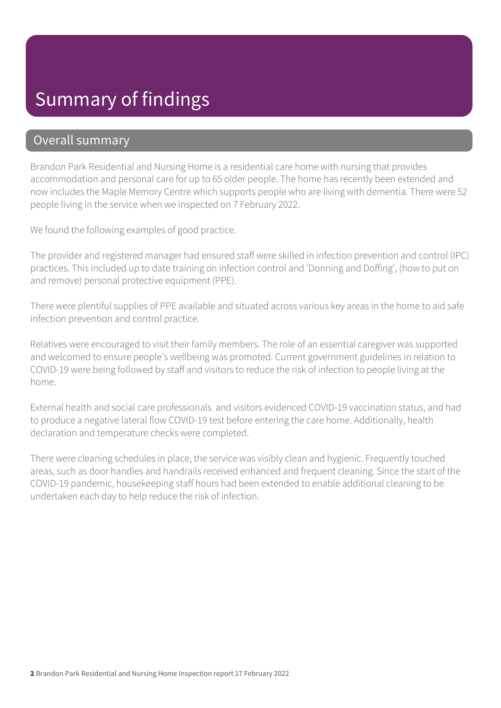## Summary of findings

### Overall summary

Brandon Park Residential and Nursing Home is a residential care home with nursing that provides accommodation and personal care for up to 65 older people. The home has recently been extended and now includes the Maple Memory Centre which supports people who are living with dementia. There were 52 people living in the service when we inspected on 7 February 2022.

We found the following examples of good practice.

The provider and registered manager had ensured staff were skilled in infection prevention and control (IPC) practices. This included up to date training on infection control and 'Donning and Doffing', (how to put on and remove) personal protective equipment (PPE).

There were plentiful supplies of PPE available and situated across various key areas in the home to aid safe infection prevention and control practice.

Relatives were encouraged to visit their family members. The role of an essential caregiver was supported and welcomed to ensure people's wellbeing was promoted. Current government guidelines in relation to COVID-19 were being followed by staff and visitors to reduce the risk of infection to people living at the home.

External health and social care professionals and visitors evidenced COVID-19 vaccination status, and had to produce a negative lateral flow COVID-19 test before entering the care home. Additionally, health declaration and temperature checks were completed.

There were cleaning schedules in place, the service was visibly clean and hygienic. Frequently touched areas, such as door handles and handrails received enhanced and frequent cleaning. Since the start of the COVID-19 pandemic, housekeeping staff hours had been extended to enable additional cleaning to be undertaken each day to help reduce the risk of infection.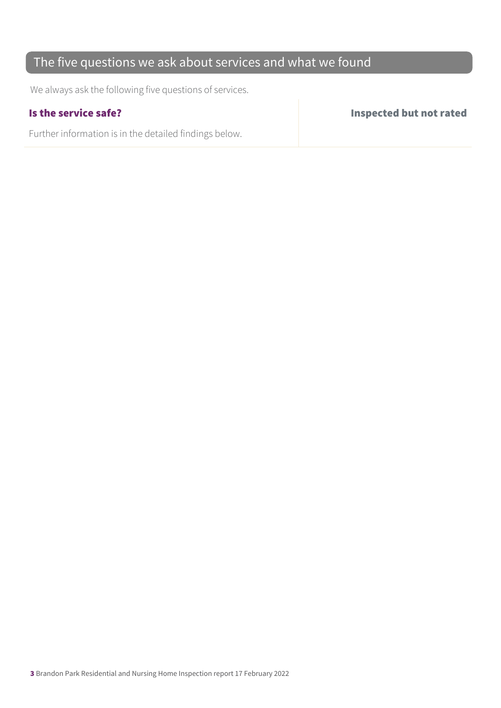## The five questions we ask about services and what we found

We always ask the following five questions of services.

Further information is in the detailed findings below.

Is the service safe? Inspected but not rated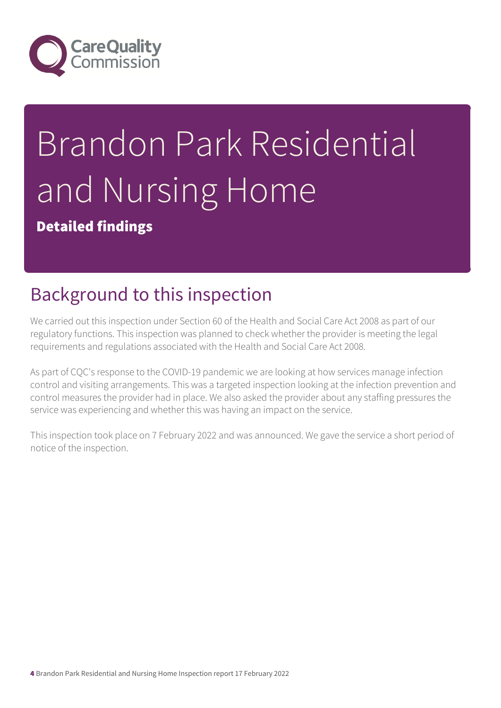

# Brandon Park Residential and Nursing Home

Detailed findings

# Background to this inspection

We carried out this inspection under Section 60 of the Health and Social Care Act 2008 as part of our regulatory functions. This inspection was planned to check whether the provider is meeting the legal requirements and regulations associated with the Health and Social Care Act 2008.

As part of CQC's response to the COVID-19 pandemic we are looking at how services manage infection control and visiting arrangements. This was a targeted inspection looking at the infection prevention and control measures the provider had in place. We also asked the provider about any staffing pressures the service was experiencing and whether this was having an impact on the service.

This inspection took place on 7 February 2022 and was announced. We gave the service a short period of notice of the inspection.